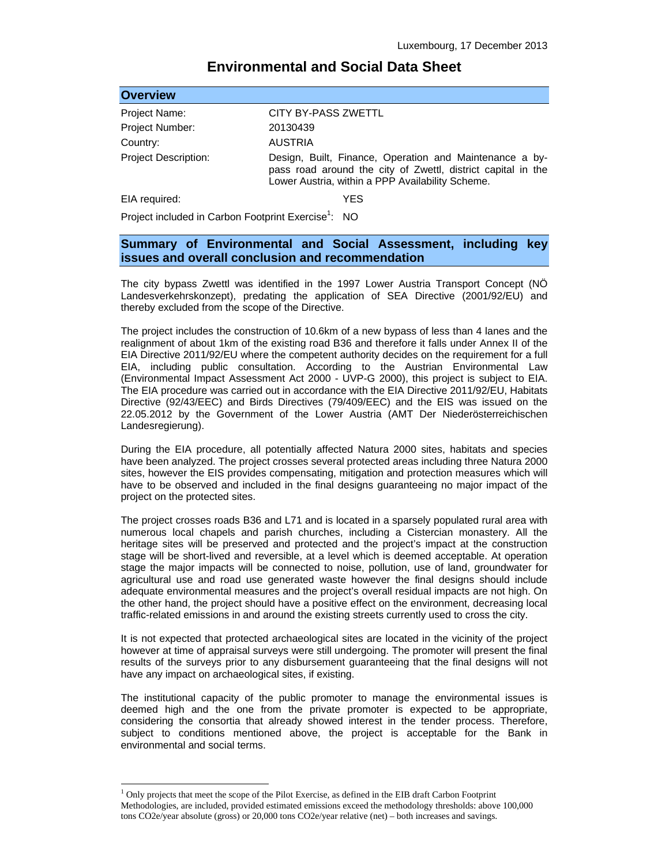# **Environmental and Social Data Sheet**

| <b>Overview</b>             |                                                                                                                                                                             |  |
|-----------------------------|-----------------------------------------------------------------------------------------------------------------------------------------------------------------------------|--|
| Project Name:               | CITY BY-PASS ZWETTL                                                                                                                                                         |  |
| Project Number:             | 20130439                                                                                                                                                                    |  |
| Country:                    | AUSTRIA                                                                                                                                                                     |  |
| <b>Project Description:</b> | Design, Built, Finance, Operation and Maintenance a by-<br>pass road around the city of Zwettl, district capital in the<br>Lower Austria, within a PPP Availability Scheme. |  |
| EIA required:               | YES                                                                                                                                                                         |  |

Project included in Carbon Footprint Exercise<sup>1</sup>: NO

## **Summary of Environmental and Social Assessment, including key issues and overall conclusion and recommendation**

The city bypass Zwettl was identified in the 1997 Lower Austria Transport Concept (NÖ Landesverkehrskonzept), predating the application of SEA Directive (2001/92/EU) and thereby excluded from the scope of the Directive.

The project includes the construction of 10.6km of a new bypass of less than 4 lanes and the realignment of about 1km of the existing road B36 and therefore it falls under Annex II of the EIA Directive 2011/92/EU where the competent authority decides on the requirement for a full EIA, including public consultation. According to the Austrian Environmental Law (Environmental Impact Assessment Act 2000 - UVP-G 2000), this project is subject to EIA. The EIA procedure was carried out in accordance with the EIA Directive 2011/92/EU, Habitats Directive (92/43/EEC) and Birds Directives (79/409/EEC) and the EIS was issued on the 22.05.2012 by the Government of the Lower Austria (AMT Der Niederösterreichischen Landesregierung).

During the EIA procedure, all potentially affected Natura 2000 sites, habitats and species have been analyzed. The project crosses several protected areas including three Natura 2000 sites, however the EIS provides compensating, mitigation and protection measures which will have to be observed and included in the final designs guaranteeing no major impact of the project on the protected sites.

The project crosses roads B36 and L71 and is located in a sparsely populated rural area with numerous local chapels and parish churches, including a Cistercian monastery. All the heritage sites will be preserved and protected and the project's impact at the construction stage will be short-lived and reversible, at a level which is deemed acceptable. At operation stage the major impacts will be connected to noise, pollution, use of land, groundwater for agricultural use and road use generated waste however the final designs should include adequate environmental measures and the project's overall residual impacts are not high. On the other hand, the project should have a positive effect on the environment, decreasing local traffic-related emissions in and around the existing streets currently used to cross the city.

It is not expected that protected archaeological sites are located in the vicinity of the project however at time of appraisal surveys were still undergoing. The promoter will present the final results of the surveys prior to any disbursement guaranteeing that the final designs will not have any impact on archaeological sites, if existing.

The institutional capacity of the public promoter to manage the environmental issues is deemed high and the one from the private promoter is expected to be appropriate, considering the consortia that already showed interest in the tender process. Therefore, subject to conditions mentioned above, the project is acceptable for the Bank in environmental and social terms.

 $\overline{\phantom{a}}$ 

<sup>&</sup>lt;sup>1</sup> Only projects that meet the scope of the Pilot Exercise, as defined in the EIB draft Carbon Footprint Methodologies, are included, provided estimated emissions exceed the methodology thresholds: above 100,000 tons CO2e/year absolute (gross) or 20,000 tons CO2e/year relative (net) – both increases and savings.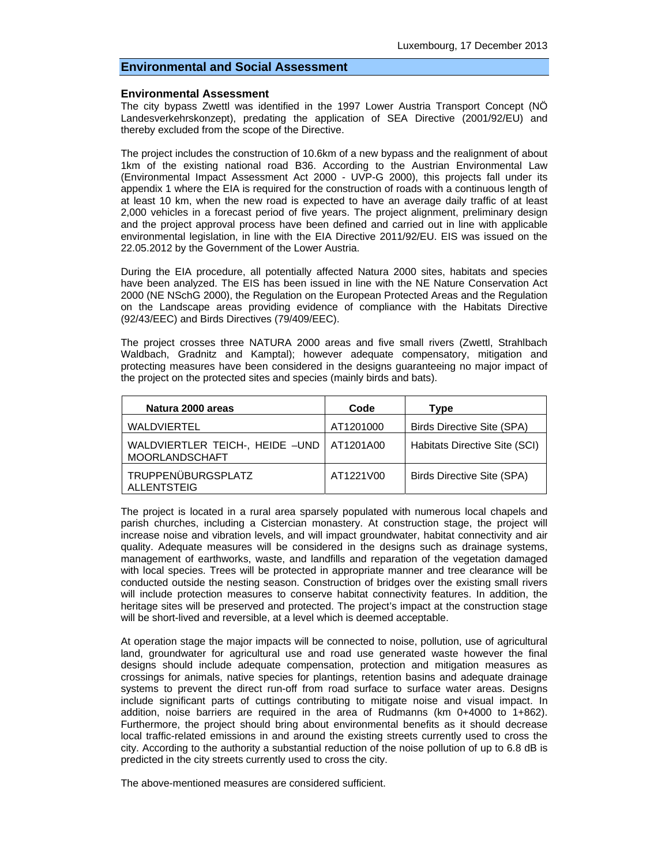## **Environmental and Social Assessment**

#### **Environmental Assessment**

The city bypass Zwettl was identified in the 1997 Lower Austria Transport Concept (NÖ Landesverkehrskonzept), predating the application of SEA Directive (2001/92/EU) and thereby excluded from the scope of the Directive.

The project includes the construction of 10.6km of a new bypass and the realignment of about 1km of the existing national road B36. According to the Austrian Environmental Law (Environmental Impact Assessment Act 2000 - UVP-G 2000), this projects fall under its appendix 1 where the EIA is required for the construction of roads with a continuous length of at least 10 km, when the new road is expected to have an average daily traffic of at least 2,000 vehicles in a forecast period of five years. The project alignment, preliminary design and the project approval process have been defined and carried out in line with applicable environmental legislation, in line with the EIA Directive 2011/92/EU. EIS was issued on the 22.05.2012 by the Government of the Lower Austria.

During the EIA procedure, all potentially affected Natura 2000 sites, habitats and species have been analyzed. The EIS has been issued in line with the NE Nature Conservation Act 2000 (NE NSchG 2000), the Regulation on the European Protected Areas and the Regulation on the Landscape areas providing evidence of compliance with the Habitats Directive (92/43/EEC) and Birds Directives (79/409/EEC).

The project crosses three NATURA 2000 areas and five small rivers (Zwettl, Strahlbach Waldbach, Gradnitz and Kamptal); however adequate compensatory, mitigation and protecting measures have been considered in the designs guaranteeing no major impact of the project on the protected sites and species (mainly birds and bats).

| Natura 2000 areas                                        | Code      | Type                              |
|----------------------------------------------------------|-----------|-----------------------------------|
| <b>WALDVIERTEL</b>                                       | AT1201000 | <b>Birds Directive Site (SPA)</b> |
| WALDVIERTLER TEICH-, HEIDE -UND<br><b>MOORLANDSCHAFT</b> | AT1201A00 | Habitats Directive Site (SCI)     |
| TRUPPENÜBURGSPLATZ<br><b>ALLENTSTEIG</b>                 | AT1221V00 | <b>Birds Directive Site (SPA)</b> |

The project is located in a rural area sparsely populated with numerous local chapels and parish churches, including a Cistercian monastery. At construction stage, the project will increase noise and vibration levels, and will impact groundwater, habitat connectivity and air quality. Adequate measures will be considered in the designs such as drainage systems, management of earthworks, waste, and landfills and reparation of the vegetation damaged with local species. Trees will be protected in appropriate manner and tree clearance will be conducted outside the nesting season. Construction of bridges over the existing small rivers will include protection measures to conserve habitat connectivity features. In addition, the heritage sites will be preserved and protected. The project's impact at the construction stage will be short-lived and reversible, at a level which is deemed acceptable.

At operation stage the major impacts will be connected to noise, pollution, use of agricultural land, groundwater for agricultural use and road use generated waste however the final designs should include adequate compensation, protection and mitigation measures as crossings for animals, native species for plantings, retention basins and adequate drainage systems to prevent the direct run-off from road surface to surface water areas. Designs include significant parts of cuttings contributing to mitigate noise and visual impact. In addition, noise barriers are required in the area of Rudmanns (km 0+4000 to 1+862). Furthermore, the project should bring about environmental benefits as it should decrease local traffic-related emissions in and around the existing streets currently used to cross the city. According to the authority a substantial reduction of the noise pollution of up to 6.8 dB is predicted in the city streets currently used to cross the city.

The above-mentioned measures are considered sufficient.